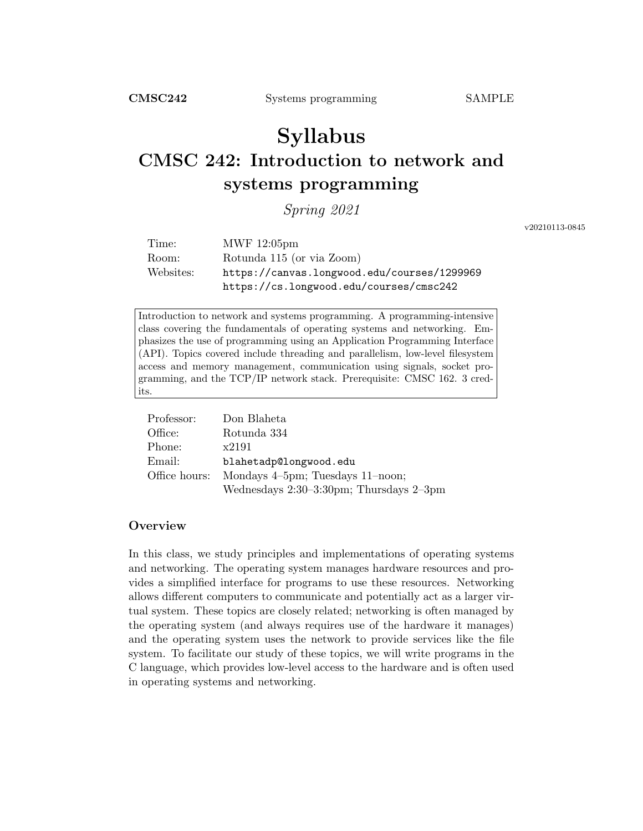# Syllabus CMSC 242: Introduction to network and systems programming

Spring 2021

v20210113-0845

| Time:     | MWF 12:05pm                                 |
|-----------|---------------------------------------------|
| Room:     | Rotunda 115 (or via Zoom)                   |
| Websites: | https://canvas.longwood.edu/courses/1299969 |
|           | https://cs.longwood.edu/courses/cmsc242     |

Introduction to network and systems programming. A programming-intensive class covering the fundamentals of operating systems and networking. Emphasizes the use of programming using an Application Programming Interface (API). Topics covered include threading and parallelism, low-level filesystem access and memory management, communication using signals, socket programming, and the TCP/IP network stack. Prerequisite: CMSC 162. 3 credits.

| Professor:    | Don Blaheta                                   |
|---------------|-----------------------------------------------|
| Office:       | Rotunda 334                                   |
| Phone:        | x2191                                         |
| Email:        | blahetadp@longwood.edu                        |
| Office hours: | Mondays 4–5pm; Tuesdays 11–noon;              |
|               | Wednesdays $2:30-3:30$ pm; Thursdays $2-3$ pm |

# **Overview**

In this class, we study principles and implementations of operating systems and networking. The operating system manages hardware resources and provides a simplified interface for programs to use these resources. Networking allows different computers to communicate and potentially act as a larger virtual system. These topics are closely related; networking is often managed by the operating system (and always requires use of the hardware it manages) and the operating system uses the network to provide services like the file system. To facilitate our study of these topics, we will write programs in the C language, which provides low-level access to the hardware and is often used in operating systems and networking.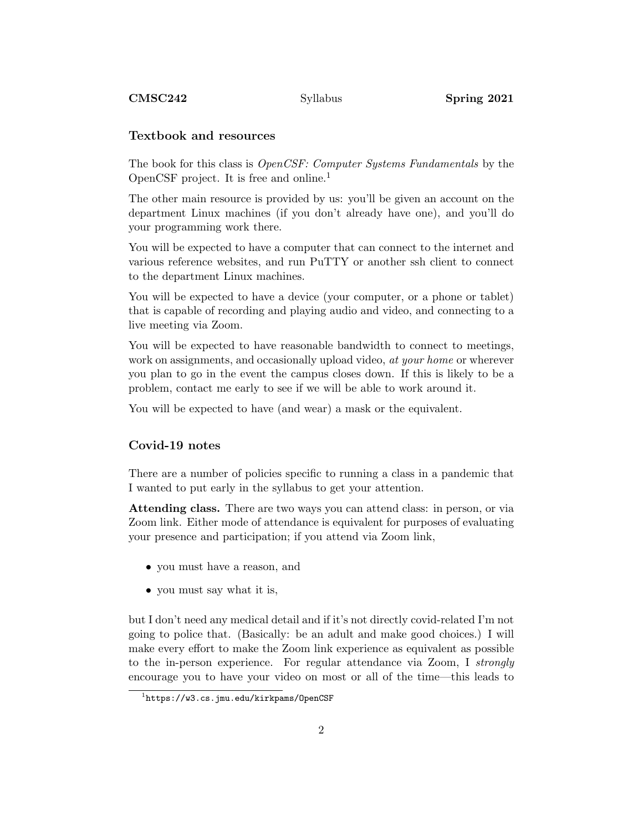#### Textbook and resources

The book for this class is OpenCSF: Computer Systems Fundamentals by the OpenCSF project. It is free and online.<sup>1</sup>

The other main resource is provided by us: you'll be given an account on the department Linux machines (if you don't already have one), and you'll do your programming work there.

You will be expected to have a computer that can connect to the internet and various reference websites, and run PuTTY or another ssh client to connect to the department Linux machines.

You will be expected to have a device (your computer, or a phone or tablet) that is capable of recording and playing audio and video, and connecting to a live meeting via Zoom.

You will be expected to have reasonable bandwidth to connect to meetings, work on assignments, and occasionally upload video, *at your home* or wherever you plan to go in the event the campus closes down. If this is likely to be a problem, contact me early to see if we will be able to work around it.

You will be expected to have (and wear) a mask or the equivalent.

#### Covid-19 notes

There are a number of policies specific to running a class in a pandemic that I wanted to put early in the syllabus to get your attention.

Attending class. There are two ways you can attend class: in person, or via Zoom link. Either mode of attendance is equivalent for purposes of evaluating your presence and participation; if you attend via Zoom link,

- you must have a reason, and
- you must say what it is,

but I don't need any medical detail and if it's not directly covid-related I'm not going to police that. (Basically: be an adult and make good choices.) I will make every effort to make the Zoom link experience as equivalent as possible to the in-person experience. For regular attendance via Zoom, I strongly encourage you to have your video on most or all of the time—this leads to

<sup>1</sup> https://w3.cs.jmu.edu/kirkpams/OpenCSF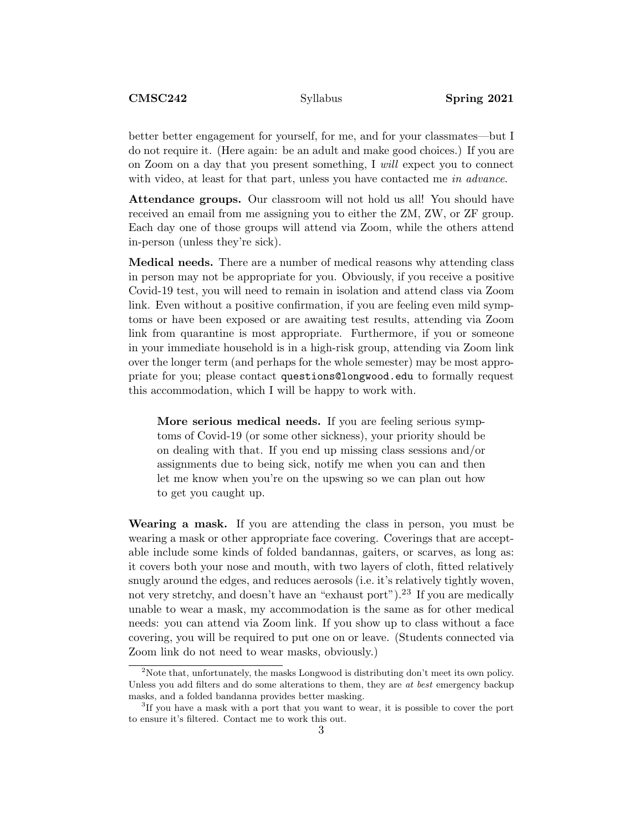better better engagement for yourself, for me, and for your classmates—but I do not require it. (Here again: be an adult and make good choices.) If you are on Zoom on a day that you present something, I will expect you to connect with video, at least for that part, unless you have contacted me in advance.

Attendance groups. Our classroom will not hold us all! You should have received an email from me assigning you to either the ZM, ZW, or ZF group. Each day one of those groups will attend via Zoom, while the others attend in-person (unless they're sick).

Medical needs. There are a number of medical reasons why attending class in person may not be appropriate for you. Obviously, if you receive a positive Covid-19 test, you will need to remain in isolation and attend class via Zoom link. Even without a positive confirmation, if you are feeling even mild symptoms or have been exposed or are awaiting test results, attending via Zoom link from quarantine is most appropriate. Furthermore, if you or someone in your immediate household is in a high-risk group, attending via Zoom link over the longer term (and perhaps for the whole semester) may be most appropriate for you; please contact questions@longwood.edu to formally request this accommodation, which I will be happy to work with.

More serious medical needs. If you are feeling serious symptoms of Covid-19 (or some other sickness), your priority should be on dealing with that. If you end up missing class sessions and/or assignments due to being sick, notify me when you can and then let me know when you're on the upswing so we can plan out how to get you caught up.

Wearing a mask. If you are attending the class in person, you must be wearing a mask or other appropriate face covering. Coverings that are acceptable include some kinds of folded bandannas, gaiters, or scarves, as long as: it covers both your nose and mouth, with two layers of cloth, fitted relatively snugly around the edges, and reduces aerosols (i.e. it's relatively tightly woven, not very stretchy, and doesn't have an "exhaust port").<sup>23</sup> If you are medically unable to wear a mask, my accommodation is the same as for other medical needs: you can attend via Zoom link. If you show up to class without a face covering, you will be required to put one on or leave. (Students connected via Zoom link do not need to wear masks, obviously.)

<sup>&</sup>lt;sup>2</sup>Note that, unfortunately, the masks Longwood is distributing don't meet its own policy. Unless you add filters and do some alterations to them, they are at best emergency backup masks, and a folded bandanna provides better masking.

<sup>&</sup>lt;sup>3</sup>If you have a mask with a port that you want to wear, it is possible to cover the port to ensure it's filtered. Contact me to work this out.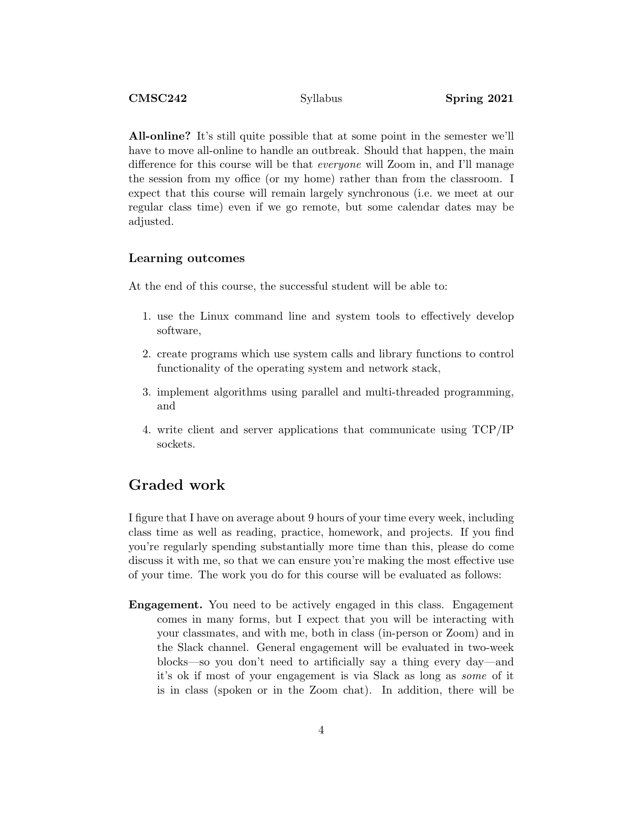All-online? It's still quite possible that at some point in the semester we'll have to move all-online to handle an outbreak. Should that happen, the main difference for this course will be that everyone will Zoom in, and I'll manage the session from my office (or my home) rather than from the classroom. I expect that this course will remain largely synchronous (i.e. we meet at our regular class time) even if we go remote, but some calendar dates may be adjusted.

#### Learning outcomes

At the end of this course, the successful student will be able to:

- 1. use the Linux command line and system tools to effectively develop software,
- 2. create programs which use system calls and library functions to control functionality of the operating system and network stack,
- 3. implement algorithms using parallel and multi-threaded programming, and
- 4. write client and server applications that communicate using TCP/IP sockets.

# Graded work

I figure that I have on average about 9 hours of your time every week, including class time as well as reading, practice, homework, and projects. If you find you're regularly spending substantially more time than this, please do come discuss it with me, so that we can ensure you're making the most effective use of your time. The work you do for this course will be evaluated as follows:

Engagement. You need to be actively engaged in this class. Engagement comes in many forms, but I expect that you will be interacting with your classmates, and with me, both in class (in-person or Zoom) and in the Slack channel. General engagement will be evaluated in two-week blocks—so you don't need to artificially say a thing every day—and it's ok if most of your engagement is via Slack as long as some of it is in class (spoken or in the Zoom chat). In addition, there will be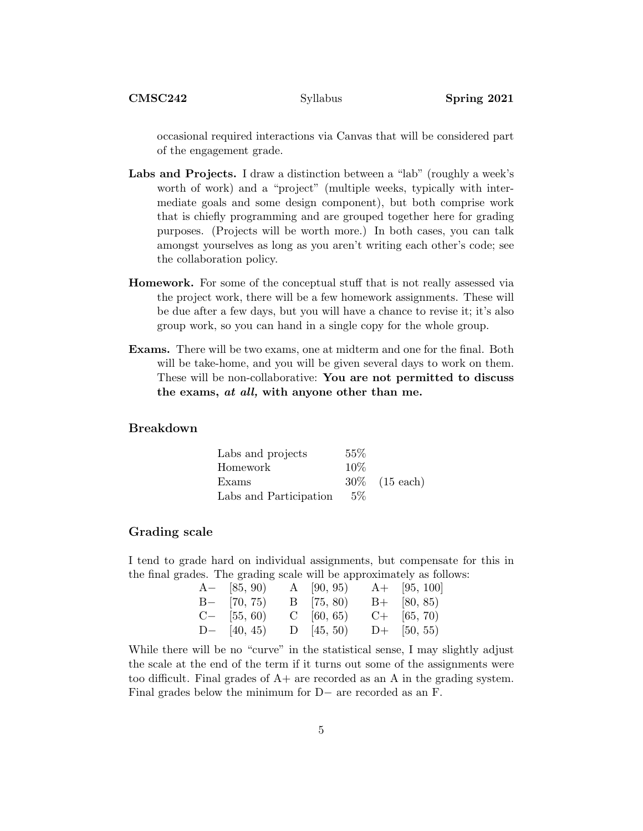occasional required interactions via Canvas that will be considered part of the engagement grade.

- Labs and Projects. I draw a distinction between a "lab" (roughly a week's worth of work) and a "project" (multiple weeks, typically with intermediate goals and some design component), but both comprise work that is chiefly programming and are grouped together here for grading purposes. (Projects will be worth more.) In both cases, you can talk amongst yourselves as long as you aren't writing each other's code; see the collaboration policy.
- Homework. For some of the conceptual stuff that is not really assessed via the project work, there will be a few homework assignments. These will be due after a few days, but you will have a chance to revise it; it's also group work, so you can hand in a single copy for the whole group.
- Exams. There will be two exams, one at midterm and one for the final. Both will be take-home, and you will be given several days to work on them. These will be non-collaborative: You are not permitted to discuss the exams, at all, with anyone other than me.

### Breakdown

| Labs and projects      | 55%   |                  |
|------------------------|-------|------------------|
| Homework               | 10%   |                  |
| Exams                  |       | $30\%$ (15 each) |
| Labs and Participation | $5\%$ |                  |

#### Grading scale

I tend to grade hard on individual assignments, but compensate for this in the final grades. The grading scale will be approximately as follows:

| $A-$ [85, 90) | A $[90, 95)$ | $A+$ [95, 100] |
|---------------|--------------|----------------|
| $B-$ [70, 75) | $B$ [75, 80) | $B+ [80, 85)$  |
| $C-$ [55, 60) | $C$ [60, 65) | $C+$ [65, 70]  |
| D- $[40, 45)$ | $D$ (45, 50) | $D+$ [50, 55]  |

While there will be no "curve" in the statistical sense, I may slightly adjust the scale at the end of the term if it turns out some of the assignments were too difficult. Final grades of  $A+$  are recorded as an A in the grading system. Final grades below the minimum for D− are recorded as an F.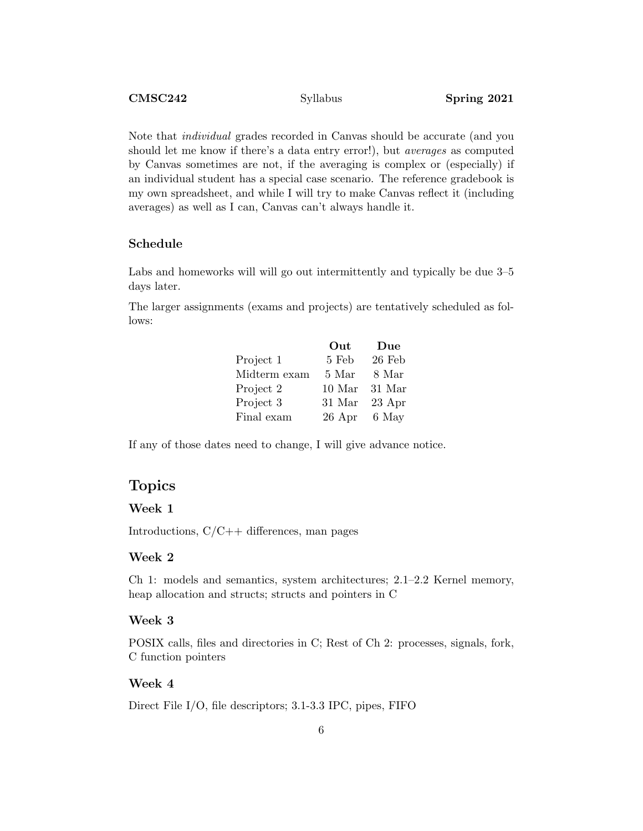Note that individual grades recorded in Canvas should be accurate (and you should let me know if there's a data entry error!), but averages as computed by Canvas sometimes are not, if the averaging is complex or (especially) if an individual student has a special case scenario. The reference gradebook is my own spreadsheet, and while I will try to make Canvas reflect it (including averages) as well as I can, Canvas can't always handle it.

### Schedule

Labs and homeworks will will go out intermittently and typically be due 3–5 days later.

The larger assignments (exams and projects) are tentatively scheduled as follows:

|              | Out    | Due    |
|--------------|--------|--------|
| Project 1    | 5 Feb  | 26 Feb |
| Midterm exam | 5 Mar  | 8 Mar  |
| Project 2    | 10 Mar | 31 Mar |
| Project 3    | 31 Mar | 23 Apr |
| Final exam   | 26 Apr | 6 May  |

If any of those dates need to change, I will give advance notice.

# Topics

### Week 1

Introductions, C/C++ differences, man pages

#### Week 2

Ch 1: models and semantics, system architectures; 2.1–2.2 Kernel memory, heap allocation and structs; structs and pointers in C

#### Week 3

POSIX calls, files and directories in C; Rest of Ch 2: processes, signals, fork, C function pointers

#### Week 4

Direct File I/O, file descriptors; 3.1-3.3 IPC, pipes, FIFO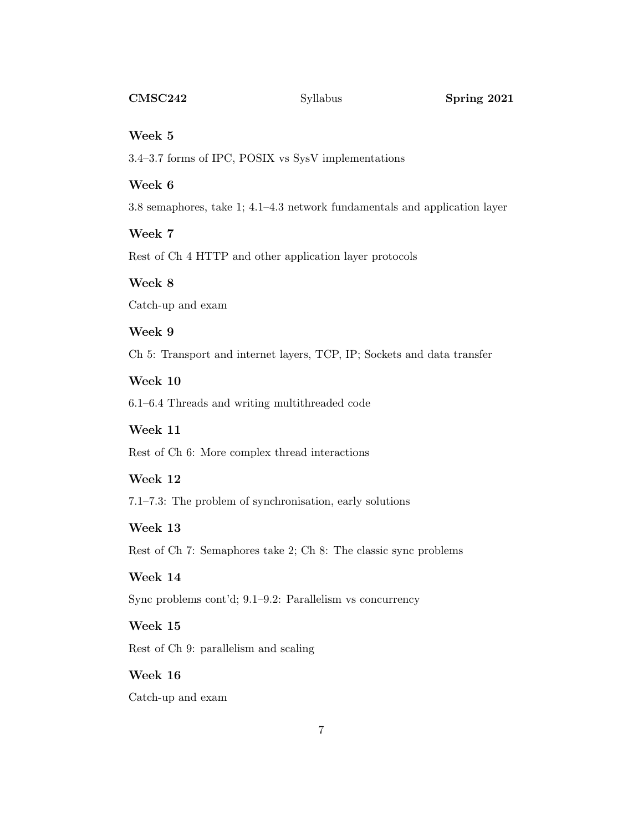#### Week 5

3.4–3.7 forms of IPC, POSIX vs SysV implementations

## Week 6

3.8 semaphores, take 1; 4.1–4.3 network fundamentals and application layer

# Week 7

Rest of Ch 4 HTTP and other application layer protocols

### Week 8

Catch-up and exam

#### Week 9

Ch 5: Transport and internet layers, TCP, IP; Sockets and data transfer

# Week 10

6.1–6.4 Threads and writing multithreaded code

### Week 11

Rest of Ch 6: More complex thread interactions

# Week 12

7.1–7.3: The problem of synchronisation, early solutions

#### Week 13

Rest of Ch 7: Semaphores take 2; Ch 8: The classic sync problems

# Week 14

Sync problems cont'd; 9.1–9.2: Parallelism vs concurrency

# Week 15

Rest of Ch 9: parallelism and scaling

# Week 16

Catch-up and exam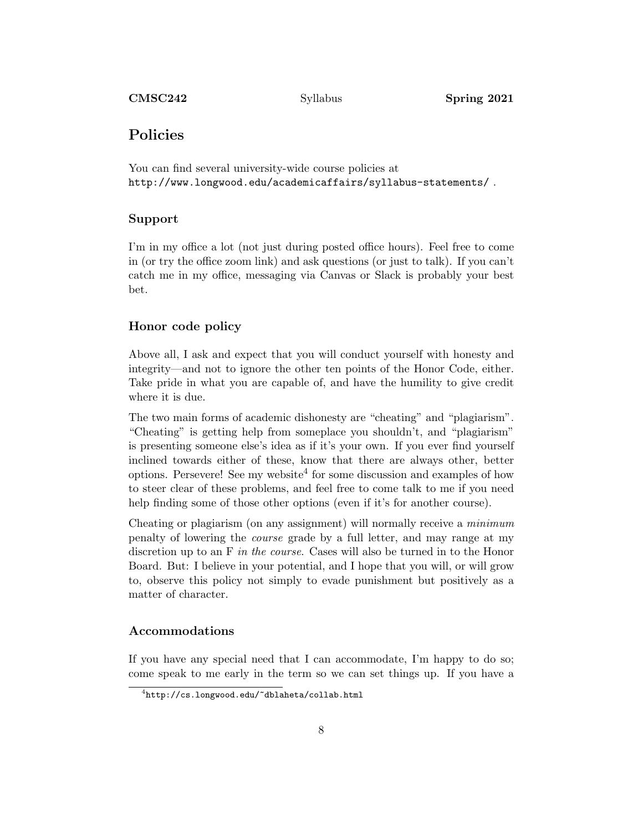# Policies

You can find several university-wide course policies at http://www.longwood.edu/academicaffairs/syllabus-statements/ .

## Support

I'm in my office a lot (not just during posted office hours). Feel free to come in (or try the office zoom link) and ask questions (or just to talk). If you can't catch me in my office, messaging via Canvas or Slack is probably your best bet.

#### Honor code policy

Above all, I ask and expect that you will conduct yourself with honesty and integrity—and not to ignore the other ten points of the Honor Code, either. Take pride in what you are capable of, and have the humility to give credit where it is due.

The two main forms of academic dishonesty are "cheating" and "plagiarism". "Cheating" is getting help from someplace you shouldn't, and "plagiarism" is presenting someone else's idea as if it's your own. If you ever find yourself inclined towards either of these, know that there are always other, better options. Persevere! See my website<sup>4</sup> for some discussion and examples of how to steer clear of these problems, and feel free to come talk to me if you need help finding some of those other options (even if it's for another course).

Cheating or plagiarism (on any assignment) will normally receive a minimum penalty of lowering the course grade by a full letter, and may range at my discretion up to an F in the course. Cases will also be turned in to the Honor Board. But: I believe in your potential, and I hope that you will, or will grow to, observe this policy not simply to evade punishment but positively as a matter of character.

#### Accommodations

If you have any special need that I can accommodate, I'm happy to do so; come speak to me early in the term so we can set things up. If you have a

 $^4$ http:// $\rm cs.$ longwood.edu/~dblaheta/collab.html